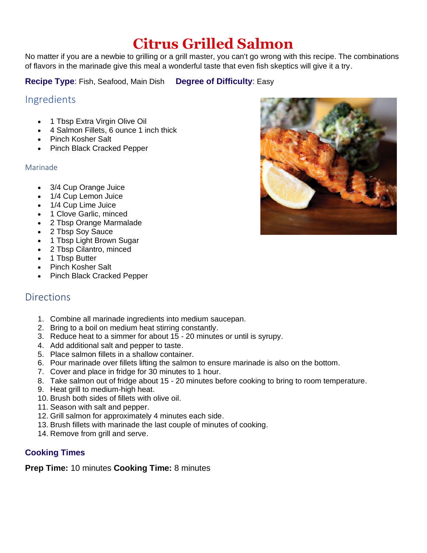# **Citrus Grilled Salmon**

No matter if you are a newbie to grilling or a grill master, you can't go wrong with this recipe. The combinations of flavors in the marinade give this meal a wonderful taste that even fish skeptics will give it a try.

**Recipe Type**: Fish, Seafood, Main Dish **Degree of Difficulty**: Easy

### Ingredients

- 1 Tbsp Extra Virgin Olive Oil
- 4 Salmon Fillets, 6 ounce 1 inch thick
- Pinch Kosher Salt
- Pinch Black Cracked Pepper

#### Marinade

- 3/4 Cup Orange Juice
- 1/4 Cup Lemon Juice
- 1/4 Cup Lime Juice
- 1 Clove Garlic, minced
- 2 Tbsp Orange Marmalade
- 2 Tbsp Soy Sauce
- 1 Tbsp Light Brown Sugar
- 2 Tbsp Cilantro, minced
- 1 Tbsp Butter
- Pinch Kosher Salt
- Pinch Black Cracked Pepper

## **Directions**

- 1. Combine all marinade ingredients into medium saucepan.
- 2. Bring to a boil on medium heat stirring constantly.
- 3. Reduce heat to a simmer for about 15 20 minutes or until is syrupy.
- 4. Add additional salt and pepper to taste.
- 5. Place salmon fillets in a shallow container.
- 6. Pour marinade over fillets lifting the salmon to ensure marinade is also on the bottom.
- 7. Cover and place in fridge for 30 minutes to 1 hour.
- 8. Take salmon out of fridge about 15 20 minutes before cooking to bring to room temperature.
- 9. Heat grill to medium-high heat.
- 10. Brush both sides of fillets with olive oil.
- 11. Season with salt and pepper.
- 12. Grill salmon for approximately 4 minutes each side.
- 13. Brush fillets with marinade the last couple of minutes of cooking.
- 14. Remove from grill and serve.

#### **Cooking Times**

**Prep Time:** 10 minutes **Cooking Time:** 8 minutes